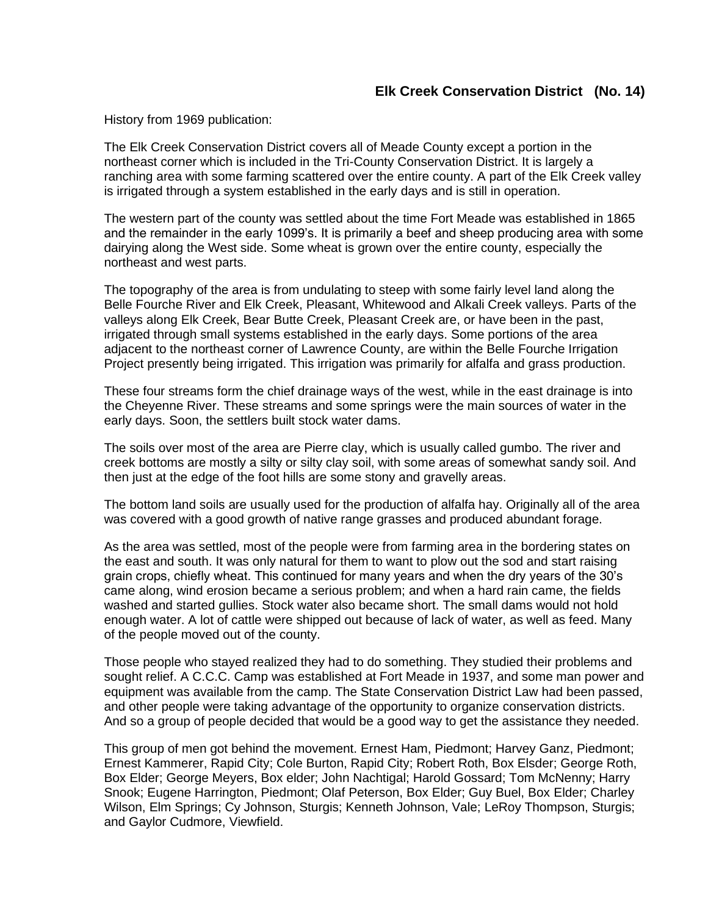## **Elk Creek Conservation District (No. 14)**

History from 1969 publication:

The Elk Creek Conservation District covers all of Meade County except a portion in the northeast corner which is included in the Tri-County Conservation District. It is largely a ranching area with some farming scattered over the entire county. A part of the Elk Creek valley is irrigated through a system established in the early days and is still in operation.

The western part of the county was settled about the time Fort Meade was established in 1865 and the remainder in the early 1099's. It is primarily a beef and sheep producing area with some dairying along the West side. Some wheat is grown over the entire county, especially the northeast and west parts.

The topography of the area is from undulating to steep with some fairly level land along the Belle Fourche River and Elk Creek, Pleasant, Whitewood and Alkali Creek valleys. Parts of the valleys along Elk Creek, Bear Butte Creek, Pleasant Creek are, or have been in the past, irrigated through small systems established in the early days. Some portions of the area adjacent to the northeast corner of Lawrence County, are within the Belle Fourche Irrigation Project presently being irrigated. This irrigation was primarily for alfalfa and grass production.

These four streams form the chief drainage ways of the west, while in the east drainage is into the Cheyenne River. These streams and some springs were the main sources of water in the early days. Soon, the settlers built stock water dams.

The soils over most of the area are Pierre clay, which is usually called gumbo. The river and creek bottoms are mostly a silty or silty clay soil, with some areas of somewhat sandy soil. And then just at the edge of the foot hills are some stony and gravelly areas.

The bottom land soils are usually used for the production of alfalfa hay. Originally all of the area was covered with a good growth of native range grasses and produced abundant forage.

As the area was settled, most of the people were from farming area in the bordering states on the east and south. It was only natural for them to want to plow out the sod and start raising grain crops, chiefly wheat. This continued for many years and when the dry years of the 30's came along, wind erosion became a serious problem; and when a hard rain came, the fields washed and started gullies. Stock water also became short. The small dams would not hold enough water. A lot of cattle were shipped out because of lack of water, as well as feed. Many of the people moved out of the county.

Those people who stayed realized they had to do something. They studied their problems and sought relief. A C.C.C. Camp was established at Fort Meade in 1937, and some man power and equipment was available from the camp. The State Conservation District Law had been passed, and other people were taking advantage of the opportunity to organize conservation districts. And so a group of people decided that would be a good way to get the assistance they needed.

This group of men got behind the movement. Ernest Ham, Piedmont; Harvey Ganz, Piedmont; Ernest Kammerer, Rapid City; Cole Burton, Rapid City; Robert Roth, Box Elsder; George Roth, Box Elder; George Meyers, Box elder; John Nachtigal; Harold Gossard; Tom McNenny; Harry Snook; Eugene Harrington, Piedmont; Olaf Peterson, Box Elder; Guy Buel, Box Elder; Charley Wilson, Elm Springs; Cy Johnson, Sturgis; Kenneth Johnson, Vale; LeRoy Thompson, Sturgis; and Gaylor Cudmore, Viewfield.